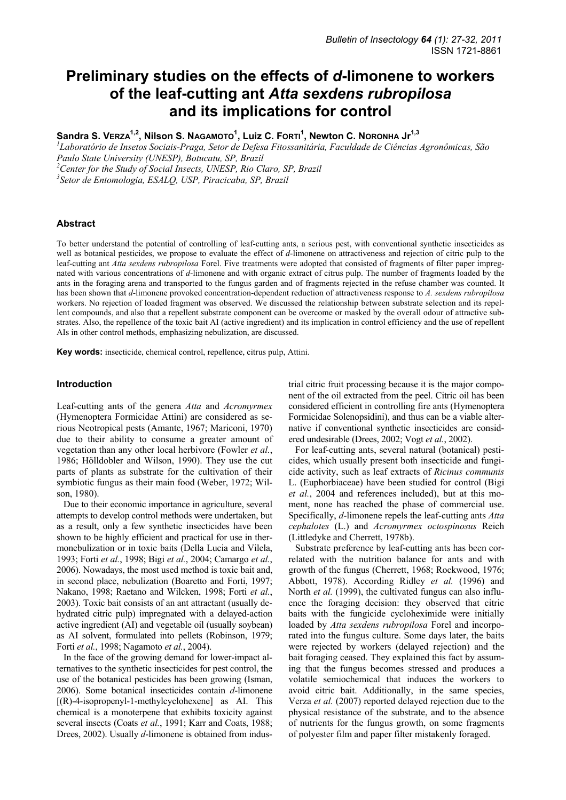# **Preliminary studies on the effects of** *d***-limonene to workers of the leaf-cutting ant** *Atta sexdens rubropilosa*  **and its implications for control**

 $S$ andra S. V $ERZA^{1,2}$ , Nilson S. NAGAMOTO $^1$ , Luiz C. FORTI $^1$ , Newton C. NORONHA Jr $^{1,3}$ 

*1 Laboratório de Insetos Sociais-Praga, Setor de Defesa Fitossanitária, Faculdade de Ciências Agronômicas, São Paulo State University (UNESP), Botucatu, SP, Brazil* 

*2 Center for the Study of Social Insects, UNESP, Rio Claro, SP, Brazil* 

*3 Setor de Entomologia, ESALQ, USP, Piracicaba, SP, Brazil* 

## **Abstract**

To better understand the potential of controlling of leaf-cutting ants, a serious pest, with conventional synthetic insecticides as well as botanical pesticides, we propose to evaluate the effect of *d*-limonene on attractiveness and rejection of citric pulp to the leaf-cutting ant *Atta sexdens rubropilosa* Forel. Five treatments were adopted that consisted of fragments of filter paper impregnated with various concentrations of *d*-limonene and with organic extract of citrus pulp. The number of fragments loaded by the ants in the foraging arena and transported to the fungus garden and of fragments rejected in the refuse chamber was counted. It has been shown that *d*-limonene provoked concentration-dependent reduction of attractiveness response to *A. sexdens rubropilosa* workers. No rejection of loaded fragment was observed. We discussed the relationship between substrate selection and its repellent compounds, and also that a repellent substrate component can be overcome or masked by the overall odour of attractive substrates. Also, the repellence of the toxic bait AI (active ingredient) and its implication in control efficiency and the use of repellent AIs in other control methods, emphasizing nebulization, are discussed.

**Key words:** insecticide, chemical control, repellence, citrus pulp, Attini.

## **Introduction**

Leaf-cutting ants of the genera *Atta* and *Acromyrmex* (Hymenoptera Formicidae Attini) are considered as serious Neotropical pests (Amante, 1967; Mariconi, 1970) due to their ability to consume a greater amount of vegetation than any other local herbivore (Fowler *et al.*, 1986; Hölldobler and Wilson, 1990). They use the cut parts of plants as substrate for the cultivation of their symbiotic fungus as their main food (Weber, 1972; Wilson, 1980).

Due to their economic importance in agriculture, several attempts to develop control methods were undertaken, but as a result, only a few synthetic insecticides have been shown to be highly efficient and practical for use in thermonebulization or in toxic baits (Della Lucia and Vilela, 1993; Forti *et al.*, 1998; Bigi *et al.*, 2004; Camargo *et al.*, 2006). Nowadays, the most used method is toxic bait and, in second place, nebulization (Boaretto and Forti, 1997; Nakano, 1998; Raetano and Wilcken, 1998; Forti *et al.*, 2003). Toxic bait consists of an ant attractant (usually dehydrated citric pulp) impregnated with a delayed-action active ingredient (AI) and vegetable oil (usually soybean) as AI solvent, formulated into pellets (Robinson, 1979; Forti *et al.*, 1998; Nagamoto *et al.*, 2004).

In the face of the growing demand for lower-impact alternatives to the synthetic insecticides for pest control, the use of the botanical pesticides has been growing (Isman, 2006). Some botanical insecticides contain *d*-limonene  $[(R)$ -4-isopropenyl-1-methylcyclohexene] as AI. This chemical is a monoterpene that exhibits toxicity against several insects (Coats *et al.*, 1991; Karr and Coats, 1988; Drees, 2002). Usually *d*-limonene is obtained from industrial citric fruit processing because it is the major component of the oil extracted from the peel. Citric oil has been considered efficient in controlling fire ants (Hymenoptera Formicidae Solenopsidini), and thus can be a viable alternative if conventional synthetic insecticides are considered undesirable (Drees, 2002; Vogt *et al.*, 2002).

For leaf-cutting ants, several natural (botanical) pesticides, which usually present both insecticide and fungicide activity, such as leaf extracts of *Ricinus communis* L. (Euphorbiaceae) have been studied for control (Bigi *et al.*, 2004 and references included), but at this moment, none has reached the phase of commercial use. Specifically, *d*-limonene repels the leaf-cutting ants *Atta cephalotes* (L.) and *Acromyrmex octospinosus* Reich (Littledyke and Cherrett, 1978b).

Substrate preference by leaf-cutting ants has been correlated with the nutrition balance for ants and with growth of the fungus (Cherrett, 1968; Rockwood, 1976; Abbott, 1978). According Ridley *et al.* (1996) and North *et al.* (1999), the cultivated fungus can also influence the foraging decision: they observed that citric baits with the fungicide cycloheximide were initially loaded by *Atta sexdens rubropilosa* Forel and incorporated into the fungus culture. Some days later, the baits were rejected by workers (delayed rejection) and the bait foraging ceased. They explained this fact by assuming that the fungus becomes stressed and produces a volatile semiochemical that induces the workers to avoid citric bait. Additionally, in the same species, Verza *et al.* (2007) reported delayed rejection due to the physical resistance of the substrate, and to the absence of nutrients for the fungus growth, on some fragments of polyester film and paper filter mistakenly foraged.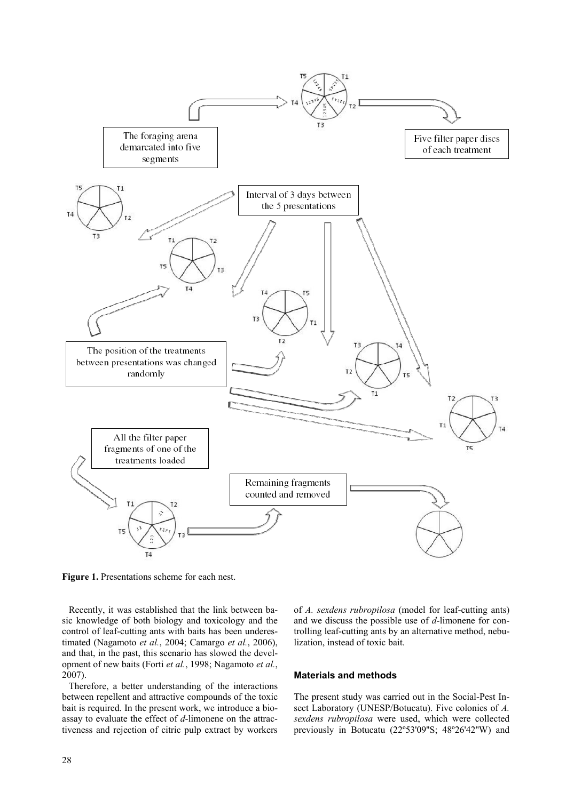

**Figure 1.** Presentations scheme for each nest.

Recently, it was established that the link between basic knowledge of both biology and toxicology and the control of leaf-cutting ants with baits has been underestimated (Nagamoto *et al.*, 2004; Camargo *et al.*, 2006), and that, in the past, this scenario has slowed the development of new baits (Forti *et al.*, 1998; Nagamoto *et al.*, 2007).

Therefore, a better understanding of the interactions between repellent and attractive compounds of the toxic bait is required. In the present work, we introduce a bioassay to evaluate the effect of *d*-limonene on the attractiveness and rejection of citric pulp extract by workers of *A. sexdens rubropilosa* (model for leaf-cutting ants) and we discuss the possible use of *d*-limonene for controlling leaf-cutting ants by an alternative method, nebulization, instead of toxic bait.

## **Materials and methods**

The present study was carried out in the Social-Pest Insect Laboratory (UNESP/Botucatu). Five colonies of *A. sexdens rubropilosa* were used, which were collected previously in Botucatu (22°53'09"S; 48°26'42"W) and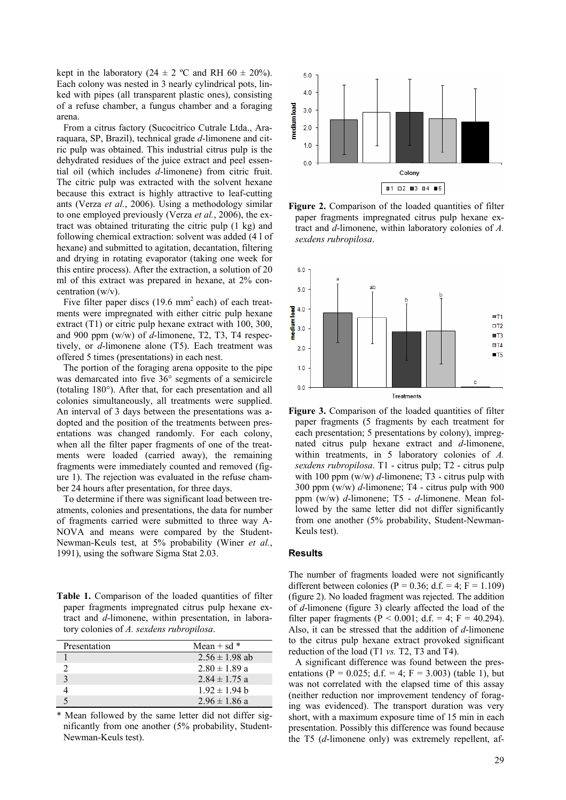kept in the laboratory (24  $\pm$  2 °C and RH 60  $\pm$  20%). Each colony was nested in 3 nearly cylindrical pots, linked with pipes (all transparent plastic ones), consisting of a refuse chamber, a fungus chamber and a foraging arena.

From a citrus factory (Sucocitrico Cutrale Ltda., Araraquara, SP, Brazil), technical grade *d*-limonene and citric pulp was obtained. This industrial citrus pulp is the dehydrated residues of the juice extract and peel essential oil (which includes *d*-limonene) from citric fruit. The citric pulp was extracted with the solvent hexane because this extract is highly attractive to leaf-cutting ants (Verza *et al.*, 2006). Using a methodology similar to one employed previously (Verza *et al.*, 2006), the extract was obtained triturating the citric pulp (1 kg) and following chemical extraction: solvent was added (4 l of hexane) and submitted to agitation, decantation, filtering and drying in rotating evaporator (taking one week for this entire process). After the extraction, a solution of 20 ml of this extract was prepared in hexane, at 2% concentration (w/v).

Five filter paper discs  $(19.6 \text{ mm}^2 \text{ each})$  of each treatments were impregnated with either citric pulp hexane extract (T1) or citric pulp hexane extract with 100, 300, and 900 ppm (w/w) of *d*-limonene, T2, T3, T4 respectively, or *d*-limonene alone (T5). Each treatment was offered 5 times (presentations) in each nest.

The portion of the foraging arena opposite to the pipe was demarcated into five 36° segments of a semicircle (totaling 180°). After that, for each presentation and all colonies simultaneously, all treatments were supplied. An interval of 3 days between the presentations was adopted and the position of the treatments between presentations was changed randomly. For each colony, when all the filter paper fragments of one of the treatments were loaded (carried away), the remaining fragments were immediately counted and removed (figure 1). The rejection was evaluated in the refuse chamber 24 hours after presentation, for three days.

To determine if there was significant load between treatments, colonies and presentations, the data for number of fragments carried were submitted to three way A-NOVA and means were compared by the Student-Newman-Keuls test, at 5% probability (Winer *et al.*, 1991), using the software Sigma Stat 2.03.

Table 1. Comparison of the loaded quantities of filter paper fragments impregnated citrus pulp hexane extract and *d*-limonene, within presentation, in laboratory colonies of *A. sexdens rubropilosa*.

| Presentation | Mean + sd $*$      |
|--------------|--------------------|
|              | $2.56 \pm 1.98$ ab |
|              | $2.80 \pm 1.89$ a  |
|              | $2.84 \pm 1.75$ a  |
|              | $1.92 \pm 1.94$ b  |
|              | $2.96 \pm 1.86$ a  |

\* Mean followed by the same letter did not differ significantly from one another (5% probability, Student-Newman-Keuls test).







**Figure 3.** Comparison of the loaded quantities of filter paper fragments (5 fragments by each treatment for each presentation; 5 presentations by colony), impregnated citrus pulp hexane extract and *d*-limonene, within treatments, in 5 laboratory colonies of *A. sexdens rubropilosa*. T1 - citrus pulp; T2 - citrus pulp with 100 ppm  $(w/w)$   $d$ -limonene; T<sub>3</sub> - citrus pulp with 300 ppm (w/w) *d*-limonene; T4 - citrus pulp with 900 ppm (w/w) *d*-limonene; T5 - *d*-limonene. Mean followed by the same letter did not differ significantly from one another (5% probability, Student-Newman-Keuls test).

#### **Results**

The number of fragments loaded were not significantly different between colonies ( $P = 0.36$ ; d.f. = 4;  $F = 1.109$ ) (figure 2). No loaded fragment was rejected. The addition of *d*-limonene (figure 3) clearly affected the load of the filter paper fragments (P < 0.001; d.f. = 4; F = 40.294). Also, it can be stressed that the addition of *d*-limonene to the citrus pulp hexane extract provoked significant reduction of the load (T1 *vs.* T2, T3 and T4).

A significant difference was found between the presentations (P = 0.025; d.f. = 4; F = 3.003) (table 1), but was not correlated with the elapsed time of this assay (neither reduction nor improvement tendency of foraging was evidenced). The transport duration was very short, with a maximum exposure time of 15 min in each presentation. Possibly this difference was found because the T5 (*d*-limonene only) was extremely repellent, af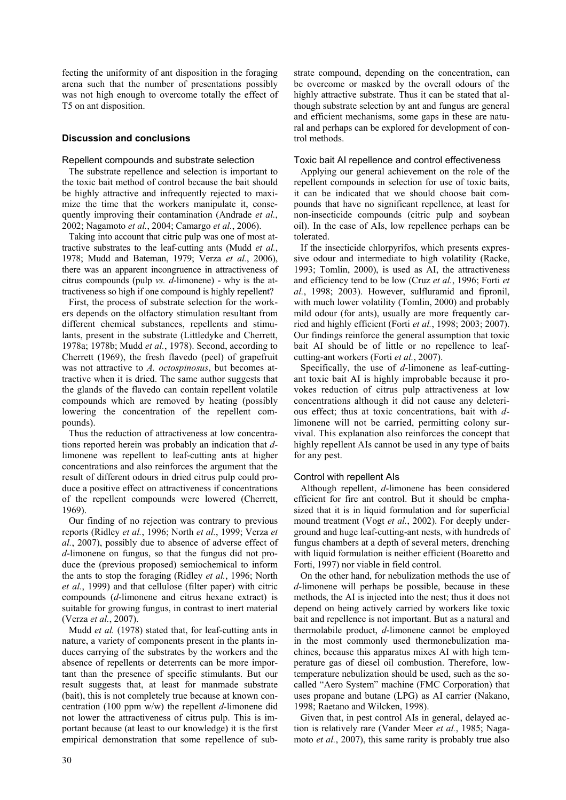fecting the uniformity of ant disposition in the foraging arena such that the number of presentations possibly was not high enough to overcome totally the effect of T5 on ant disposition.

# **Discussion and conclusions**

# Repellent compounds and substrate selection

The substrate repellence and selection is important to the toxic bait method of control because the bait should be highly attractive and infrequently rejected to maximize the time that the workers manipulate it, consequently improving their contamination (Andrade *et al.*, 2002; Nagamoto *et al.*, 2004; Camargo *et al.*, 2006).

Taking into account that citric pulp was one of most attractive substrates to the leaf-cutting ants (Mudd *et al.*, 1978; Mudd and Bateman, 1979; Verza *et al.*, 2006), there was an apparent incongruence in attractiveness of citrus compounds (pulp *vs. d*-limonene) - why is the attractiveness so high if one compound is highly repellent?

First, the process of substrate selection for the workers depends on the olfactory stimulation resultant from different chemical substances, repellents and stimulants, present in the substrate (Littledyke and Cherrett, 1978a; 1978b; Mudd *et al.*, 1978). Second, according to Cherrett (1969), the fresh flavedo (peel) of grapefruit was not attractive to *A. octospinosus*, but becomes attractive when it is dried. The same author suggests that the glands of the flavedo can contain repellent volatile compounds which are removed by heating (possibly lowering the concentration of the repellent compounds).

Thus the reduction of attractiveness at low concentrations reported herein was probably an indication that *d*limonene was repellent to leaf-cutting ants at higher concentrations and also reinforces the argument that the result of different odours in dried citrus pulp could produce a positive effect on attractiveness if concentrations of the repellent compounds were lowered (Cherrett, 1969).

Our finding of no rejection was contrary to previous reports (Ridley *et al.*, 1996; North *et al.*, 1999; Verza *et al.*, 2007), possibly due to absence of adverse effect of *d*-limonene on fungus, so that the fungus did not produce the (previous proposed) semiochemical to inform the ants to stop the foraging (Ridley *et al.*, 1996; North *et al.*, 1999) and that cellulose (filter paper) with citric compounds (*d*-limonene and citrus hexane extract) is suitable for growing fungus, in contrast to inert material (Verza *et al.*, 2007).

Mudd *et al.* (1978) stated that, for leaf-cutting ants in nature, a variety of components present in the plants induces carrying of the substrates by the workers and the absence of repellents or deterrents can be more important than the presence of specific stimulants. But our result suggests that, at least for manmade substrate (bait), this is not completely true because at known concentration (100 ppm w/w) the repellent *d*-limonene did not lower the attractiveness of citrus pulp. This is important because (at least to our knowledge) it is the first empirical demonstration that some repellence of substrate compound, depending on the concentration, can be overcome or masked by the overall odours of the highly attractive substrate. Thus it can be stated that although substrate selection by ant and fungus are general and efficient mechanisms, some gaps in these are natural and perhaps can be explored for development of control methods.

## Toxic bait AI repellence and control effectiveness

Applying our general achievement on the role of the repellent compounds in selection for use of toxic baits, it can be indicated that we should choose bait compounds that have no significant repellence, at least for non-insecticide compounds (citric pulp and soybean oil). In the case of AIs, low repellence perhaps can be tolerated.

If the insecticide chlorpyrifos, which presents expressive odour and intermediate to high volatility (Racke, 1993; Tomlin, 2000), is used as AI, the attractiveness and efficiency tend to be low (Cruz *et al.*, 1996; Forti *et al.*, 1998; 2003). However, sulfluramid and fipronil, with much lower volatility (Tomlin, 2000) and probably mild odour (for ants), usually are more frequently carried and highly efficient (Forti *et al.*, 1998; 2003; 2007). Our findings reinforce the general assumption that toxic bait AI should be of little or no repellence to leafcutting-ant workers (Forti *et al.*, 2007).

Specifically, the use of *d*-limonene as leaf-cuttingant toxic bait AI is highly improbable because it provokes reduction of citrus pulp attractiveness at low concentrations although it did not cause any deleterious effect; thus at toxic concentrations, bait with *d*limonene will not be carried, permitting colony survival. This explanation also reinforces the concept that highly repellent AIs cannot be used in any type of baits for any pest.

## Control with repellent AIs

Although repellent, *d*-limonene has been considered efficient for fire ant control. But it should be emphasized that it is in liquid formulation and for superficial mound treatment (Vogt *et al.*, 2002). For deeply underground and huge leaf-cutting-ant nests, with hundreds of fungus chambers at a depth of several meters, drenching with liquid formulation is neither efficient (Boaretto and Forti, 1997) nor viable in field control.

On the other hand, for nebulization methods the use of *d*-limonene will perhaps be possible, because in these methods, the AI is injected into the nest; thus it does not depend on being actively carried by workers like toxic bait and repellence is not important. But as a natural and thermolabile product, *d*-limonene cannot be employed in the most commonly used thermonebulization machines, because this apparatus mixes AI with high temperature gas of diesel oil combustion. Therefore, lowtemperature nebulization should be used, such as the socalled "Aero System" machine (FMC Corporation) that uses propane and butane (LPG) as AI carrier (Nakano, 1998; Raetano and Wilcken, 1998).

Given that, in pest control AIs in general, delayed action is relatively rare (Vander Meer *et al.*, 1985; Nagamoto *et al.*, 2007), this same rarity is probably true also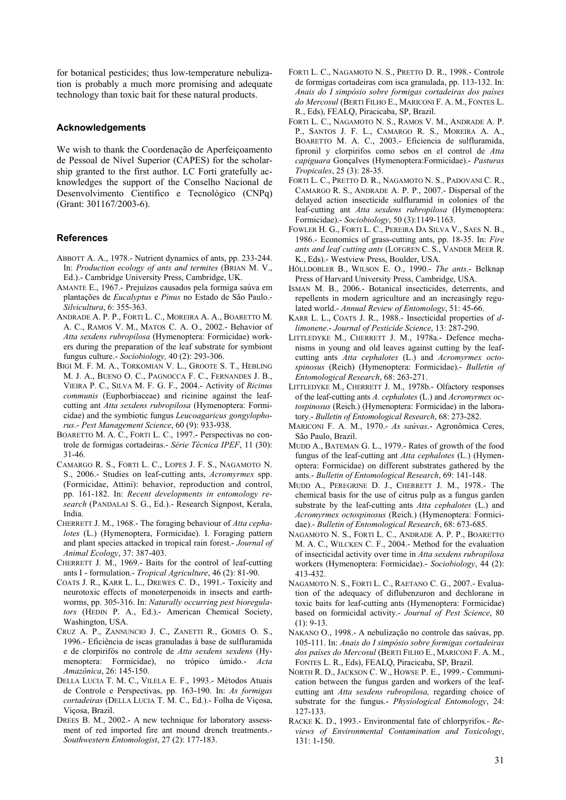for botanical pesticides; thus low-temperature nebulization is probably a much more promising and adequate technology than toxic bait for these natural products.

## **Acknowledgements**

We wish to thank the Coordenação de Aperfeiçoamento de Pessoal de Nível Superior (CAPES) for the scholarship granted to the first author. LC Forti gratefully acknowledges the support of the Conselho Nacional de Desenvolvimento Científico e Tecnológico (CNPq) (Grant: 301167/2003-6).

#### **References**

- ABBOTT A. A., 1978.- Nutrient dynamics of ants, pp. 233-244. In: *Production ecology of ants and termites* (BRIAN M. V., Ed.).- Cambridge University Press, Cambridge, UK.
- AMANTE E., 1967.- Prejuízos causados pela formiga saúva em plantações de *Eucalyptus* e *Pinus* no Estado de São Paulo.- *Silvicultura*, 6: 355-363.
- ANDRADE A. P. P., FORTI L. C., MOREIRA A. A., BOARETTO M. A. C., RAMOS V. M., MATOS C. A. O., 2002.- Behavior of *Atta sexdens rubropilosa* (Hymenoptera: Formicidae) workers during the preparation of the leaf substrate for symbiont fungus culture.- *Sociobiology,* 40 (2): 293-306.
- BIGI M. F. M. A., TORKOMIAN V. L., GROOTE S. T., HEBLING M. J. A., BUENO O. C., PAGNOCCA F. C., FERNANDES J. B., VIEIRA P. C., SILVA M. F. G. F., 2004.- Activity of *Ricinus communis* (Euphorbiaceae) and ricinine against the leafcutting ant *Atta sexdens rubropilosa* (Hymenoptera: Formicidae) and the symbiotic fungus *Leucoagaricus gongylophorus*.- *Pest Management Science*, 60 (9): 933-938.
- BOARETTO M. A. C., FORTI L. C., 1997.- Perspectivas no controle de formigas cortadeiras.- *Série Técnica IPEF*, 11 (30): 31-46.
- CAMARGO R. S., FORTI L. C., LOPES J. F. S., NAGAMOTO N. S., 2006.- Studies on leaf-cutting ants, *Acromyrmex* spp. (Formicidae, Attini): behavior, reproduction and control, pp. 161-182. In: *Recent developments in entomology research* (PANDALAI S. G., Ed.).- Research Signpost, Kerala, India.
- CHERRETT J. M., 1968.- The foraging behaviour of *Atta cephalotes* (L.) (Hymenoptera, Formicidae). I. Foraging pattern and plant species attacked in tropical rain forest.- *Journal of Animal Ecology*, 37: 387-403.
- CHERRETT J. M., 1969.- Baits for the control of leaf-cutting ants I - formulation.- *Tropical Agriculture*, 46 (2): 81-90.
- COATS J. R., KARR L. L., DREWES C. D., 1991.- Toxicity and neurotoxic effects of monoterpenoids in insects and earthworms, pp. 305-316. In: *Naturally occurring pest bioregulators* (HEDIN P. A., Ed.).- American Chemical Society, Washington, USA.
- CRUZ A. P., ZANNUNCIO J. C., ZANETTI R., GOMES O. S., 1996.- Eficiência de iscas granuladas à base de sulfluramida e de clorpirifós no controle de *Atta sexdens sexdens* (Hymenoptera: Formicidae), no trópico úmido.- *Acta Amazônica*, 26: 145-150.
- DELLA LUCIA T. M. C., VILELA E. F., 1993.- Métodos Atuais de Controle e Perspectivas, pp. 163-190. In: *As formigas cortadeiras* (DELLA LUCIA T. M. C., Ed.).- Folha de Viçosa, Viçosa, Brazil.
- DREES B. M., 2002.- A new technique for laboratory assessment of red imported fire ant mound drench treatments.- *Southwestern Entomologist*, 27 (2): 177-183.
- FORTI L. C., NAGAMOTO N. S., PRETTO D. R., 1998.- Controle de formigas cortadeiras com isca granulada, pp. 113-132. In: *Anais do I simpósio sobre formigas cortadeiras dos países do Mercosul* (BERTI FILHO E., MARICONI F. A. M., FONTES L. R., Eds), FEALQ, Piracicaba, SP, Brazil.
- FORTI L. C., NAGAMOTO N. S., RAMOS V. M., ANDRADE A. P. P., SANTOS J. F. L., CAMARGO R. S., MOREIRA A. A., BOARETTO M. A. C., 2003.- Eficiencia de sulfluramida, fipronil y clorpirifos como sebos en el control de *Atta capiguara* Gonçalves (Hymenoptera:Formicidae).- *Pasturas Tropicales*, 25 (3): 28-35.
- FORTI L. C., PRETTO D. R., NAGAMOTO N. S., PADOVANI C. R., CAMARGO R. S., ANDRADE A. P. P., 2007.- Dispersal of the delayed action insecticide sulfluramid in colonies of the leaf-cutting ant *Atta sexdens rubropilosa* (Hymenoptera: Formicidae).- *Sociobiology*, 50 (3):1149-1163.
- FOWLER H. G., FORTI L. C., PEREIRA DA SILVA V., SAES N. B., 1986.- Economics of grass-cutting ants, pp. 18-35. In: *Fire ants and leaf cutting ants* (LOFGREN C. S., VANDER MEER R. K., Eds).- Westview Press, Boulder, USA.
- HÖLLDOBLER B., WILSON E. O., 1990.- *The ants*.- Belknap Press of Harvard University Press, Cambridge, USA.
- ISMAN M. B., 2006.- Botanical insecticides, deterrents, and repellents in modern agriculture and an increasingly regulated world.- *Annual Review of Entomology*, 51: 45-66.
- KARR L. L., COATS J. R., 1988.- Insecticidal properties of *dlimonene*.- *Journal of Pesticide Science*, 13: 287-290.
- LITTLEDYKE M., CHERRETT J. M., 1978a.- Defence mechanisms in young and old leaves against cutting by the leafcutting ants *Atta cephalotes* (L.) and *Acromyrmex octospinosus* (Reich) (Hymenoptera: Formicidae).- *Bulletin of Entomological Research*, 68: 263-271.
- LITTLEDYKE M., CHERRETT J. M., 1978b.- Olfactory responses of the leaf-cutting ants *A. cephalotes* (L.) and *Acromyrmex octospinosus* (Reich.) (Hymenoptera: Formicidae) in the laboratory.- *Bulletin of Entomological Research*, 68: 273-282.
- MARICONI F. A. M., 1970.- *As saúvas*.- Agronômica Ceres, São Paulo, Brazil.
- MUDD A., BATEMAN G. L., 1979.- Rates of growth of the food fungus of the leaf-cutting ant *Atta cephalotes* (L.) (Hymenoptera: Formicidae) on different substrates gathered by the ants.- *Bulletin of Entomological Research*, 69: 141-148.
- MUDD A., PEREGRINE D. J., CHERRETT J. M., 1978.- The chemical basis for the use of citrus pulp as a fungus garden substrate by the leaf-cutting ants *Atta cephalotes* (L.) and *Acromyrmex octospinosus* (Reich.) (Hymenoptera: Formicidae).- *Bulletin of Entomological Research*, 68: 673-685.
- NAGAMOTO N. S., FORTI L. C., ANDRADE A. P. P., BOARETTO M. A. C., WILCKEN C. F., 2004.- Method for the evaluation of insecticidal activity over time in *Atta sexdens rubropilosa* workers (Hymenoptera: Formicidae).- *Sociobiology*, 44 (2): 413-432.
- NAGAMOTO N. S., FORTI L. C., RAETANO C. G., 2007.- Evaluation of the adequacy of diflubenzuron and dechlorane in toxic baits for leaf-cutting ants (Hymenoptera: Formicidae) based on formicidal activity.- *Journal of Pest Science*, 80  $(1): 9-13.$
- NAKANO O., 1998.- A nebulização no controle das saúvas, pp. 105-111. In: *Anais do I simpósio sobre formigas cortadeiras dos países do Mercosul* (BERTI FILHO E., MARICONI F. A. M., FONTES L. R., Eds), FEALQ, Piracicaba, SP, Brazil.
- NORTH R. D., JACKSON C. W., HOWSE P. E., 1999.- Communication between the fungus garden and workers of the leafcutting ant *Atta sexdens rubropilosa,* regarding choice of substrate for the fungus.- *Physiological Entomology*, 24: 127-133.
- RACKE K. D., 1993.- Environmental fate of chlorpyrifos.- *Reviews of Environmental Contamination and Toxicology*, 131: 1-150.